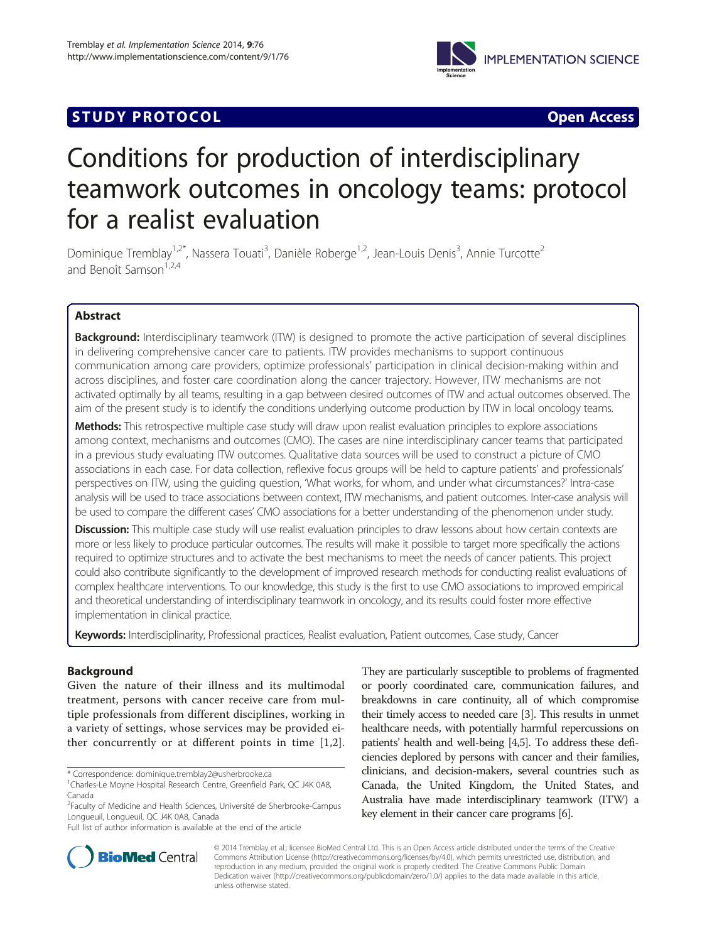## **STUDY PROTOCOL CONSUMING THE CONSUMING OPEN ACCESS**



# Conditions for production of interdisciplinary teamwork outcomes in oncology teams: protocol for a realist evaluation

Dominique Tremblay<sup>1,2\*</sup>, Nassera Touati<sup>3</sup>, Danièle Roberge<sup>1,2</sup>, Jean-Louis Denis<sup>3</sup>, Annie Turcotte<sup>2</sup> and Benoît Samson<sup>1,2,4</sup>

## Abstract

Background: Interdisciplinary teamwork (ITW) is designed to promote the active participation of several disciplines in delivering comprehensive cancer care to patients. ITW provides mechanisms to support continuous communication among care providers, optimize professionals' participation in clinical decision-making within and across disciplines, and foster care coordination along the cancer trajectory. However, ITW mechanisms are not activated optimally by all teams, resulting in a gap between desired outcomes of ITW and actual outcomes observed. The aim of the present study is to identify the conditions underlying outcome production by ITW in local oncology teams.

Methods: This retrospective multiple case study will draw upon realist evaluation principles to explore associations among context, mechanisms and outcomes (CMO). The cases are nine interdisciplinary cancer teams that participated in a previous study evaluating ITW outcomes. Qualitative data sources will be used to construct a picture of CMO associations in each case. For data collection, reflexive focus groups will be held to capture patients' and professionals' perspectives on ITW, using the guiding question, 'What works, for whom, and under what circumstances?' Intra-case analysis will be used to trace associations between context, ITW mechanisms, and patient outcomes. Inter-case analysis will be used to compare the different cases' CMO associations for a better understanding of the phenomenon under study.

Discussion: This multiple case study will use realist evaluation principles to draw lessons about how certain contexts are more or less likely to produce particular outcomes. The results will make it possible to target more specifically the actions required to optimize structures and to activate the best mechanisms to meet the needs of cancer patients. This project could also contribute significantly to the development of improved research methods for conducting realist evaluations of complex healthcare interventions. To our knowledge, this study is the first to use CMO associations to improved empirical and theoretical understanding of interdisciplinary teamwork in oncology, and its results could foster more effective implementation in clinical practice.

Keywords: Interdisciplinarity, Professional practices, Realist evaluation, Patient outcomes, Case study, Cancer

## Background

Given the nature of their illness and its multimodal treatment, persons with cancer receive care from multiple professionals from different disciplines, working in a variety of settings, whose services may be provided either concurrently or at different points in time [[1,2](#page-8-0)].

\* Correspondence: [dominique.tremblay2@usherbrooke.ca](mailto:dominique.tremblay2@usherbrooke.ca) <sup>1</sup>

They are particularly susceptible to problems of fragmented or poorly coordinated care, communication failures, and breakdowns in care continuity, all of which compromise their timely access to needed care [\[3\]](#page-8-0). This results in unmet healthcare needs, with potentially harmful repercussions on patients' health and well-being [\[4,5](#page-8-0)]. To address these deficiencies deplored by persons with cancer and their families, clinicians, and decision-makers, several countries such as Canada, the United Kingdom, the United States, and Australia have made interdisciplinary teamwork (ITW) a key element in their cancer care programs [\[6](#page-8-0)].



© 2014 Tremblay et al.; licensee BioMed Central Ltd. This is an Open Access article distributed under the terms of the Creative Commons Attribution License [\(http://creativecommons.org/licenses/by/4.0\)](http://creativecommons.org/licenses/by/4.0), which permits unrestricted use, distribution, and reproduction in any medium, provided the original work is properly credited. The Creative Commons Public Domain Dedication waiver [\(http://creativecommons.org/publicdomain/zero/1.0/](http://creativecommons.org/publicdomain/zero/1.0/)) applies to the data made available in this article, unless otherwise stated.

<sup>&</sup>lt;sup>1</sup> Charles-Le Moyne Hospital Research Centre, Greenfield Park, QC J4K 0A8, Canada

<sup>&</sup>lt;sup>2</sup>Faculty of Medicine and Health Sciences, Université de Sherbrooke-Campus Longueuil, Longueuil, QC J4K 0A8, Canada

Full list of author information is available at the end of the article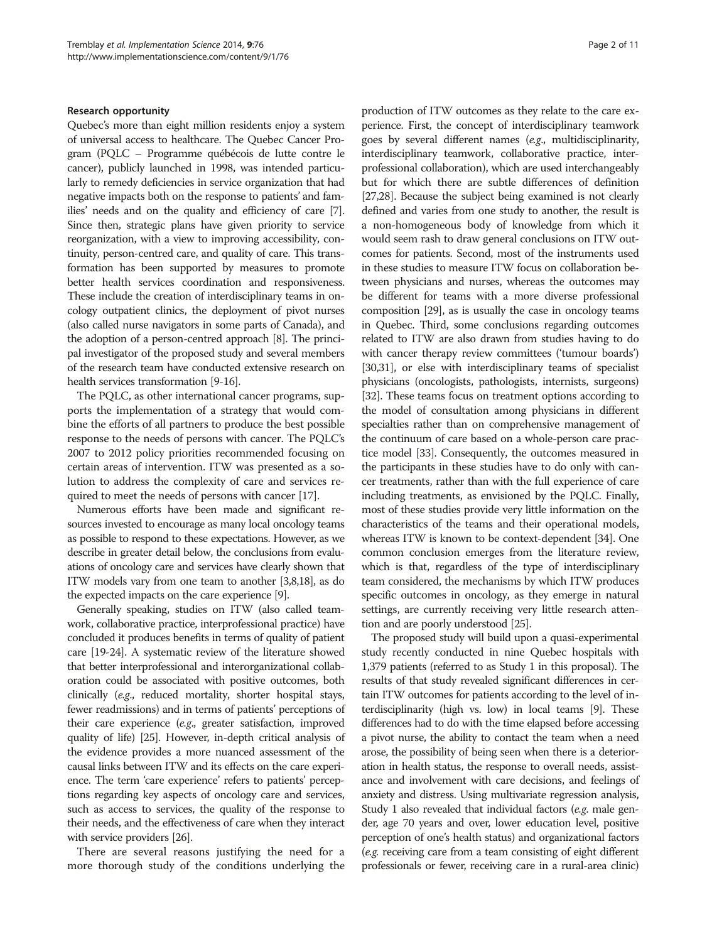#### Research opportunity

Quebec's more than eight million residents enjoy a system of universal access to healthcare. The Quebec Cancer Program (PQLC – Programme québécois de lutte contre le cancer), publicly launched in 1998, was intended particularly to remedy deficiencies in service organization that had negative impacts both on the response to patients' and families' needs and on the quality and efficiency of care [[7](#page-8-0)]. Since then, strategic plans have given priority to service reorganization, with a view to improving accessibility, continuity, person-centred care, and quality of care. This transformation has been supported by measures to promote better health services coordination and responsiveness. These include the creation of interdisciplinary teams in oncology outpatient clinics, the deployment of pivot nurses (also called nurse navigators in some parts of Canada), and the adoption of a person-centred approach [[8](#page-8-0)]. The principal investigator of the proposed study and several members of the research team have conducted extensive research on health services transformation [\[9-16\]](#page-8-0).

The PQLC, as other international cancer programs, supports the implementation of a strategy that would combine the efforts of all partners to produce the best possible response to the needs of persons with cancer. The PQLC's 2007 to 2012 policy priorities recommended focusing on certain areas of intervention. ITW was presented as a solution to address the complexity of care and services required to meet the needs of persons with cancer [[17](#page-8-0)].

Numerous efforts have been made and significant resources invested to encourage as many local oncology teams as possible to respond to these expectations. However, as we describe in greater detail below, the conclusions from evaluations of oncology care and services have clearly shown that ITW models vary from one team to another [[3,8,18](#page-8-0)], as do the expected impacts on the care experience [\[9\]](#page-8-0).

Generally speaking, studies on ITW (also called teamwork, collaborative practice, interprofessional practice) have concluded it produces benefits in terms of quality of patient care [[19-24\]](#page-8-0). A systematic review of the literature showed that better interprofessional and interorganizational collaboration could be associated with positive outcomes, both clinically (e.g., reduced mortality, shorter hospital stays, fewer readmissions) and in terms of patients' perceptions of their care experience (e.g., greater satisfaction, improved quality of life) [\[25\]](#page-8-0). However, in-depth critical analysis of the evidence provides a more nuanced assessment of the causal links between ITW and its effects on the care experience. The term 'care experience' refers to patients' perceptions regarding key aspects of oncology care and services, such as access to services, the quality of the response to their needs, and the effectiveness of care when they interact with service providers [\[26](#page-8-0)].

There are several reasons justifying the need for a more thorough study of the conditions underlying the

production of ITW outcomes as they relate to the care experience. First, the concept of interdisciplinary teamwork goes by several different names (e.g., multidisciplinarity, interdisciplinary teamwork, collaborative practice, interprofessional collaboration), which are used interchangeably but for which there are subtle differences of definition [[27,28\]](#page-8-0). Because the subject being examined is not clearly defined and varies from one study to another, the result is a non-homogeneous body of knowledge from which it would seem rash to draw general conclusions on ITW outcomes for patients. Second, most of the instruments used in these studies to measure ITW focus on collaboration between physicians and nurses, whereas the outcomes may be different for teams with a more diverse professional composition [\[29\]](#page-8-0), as is usually the case in oncology teams in Quebec. Third, some conclusions regarding outcomes related to ITW are also drawn from studies having to do with cancer therapy review committees ('tumour boards') [[30,31\]](#page-8-0), or else with interdisciplinary teams of specialist physicians (oncologists, pathologists, internists, surgeons) [[32](#page-8-0)]. These teams focus on treatment options according to the model of consultation among physicians in different specialties rather than on comprehensive management of the continuum of care based on a whole-person care practice model [\[33\]](#page-8-0). Consequently, the outcomes measured in the participants in these studies have to do only with cancer treatments, rather than with the full experience of care including treatments, as envisioned by the PQLC. Finally, most of these studies provide very little information on the characteristics of the teams and their operational models, whereas ITW is known to be context-dependent [[34](#page-8-0)]. One common conclusion emerges from the literature review, which is that, regardless of the type of interdisciplinary team considered, the mechanisms by which ITW produces specific outcomes in oncology, as they emerge in natural settings, are currently receiving very little research attention and are poorly understood [\[25\]](#page-8-0).

The proposed study will build upon a quasi-experimental study recently conducted in nine Quebec hospitals with 1,379 patients (referred to as Study 1 in this proposal). The results of that study revealed significant differences in certain ITW outcomes for patients according to the level of interdisciplinarity (high vs. low) in local teams [\[9\]](#page-8-0). These differences had to do with the time elapsed before accessing a pivot nurse, the ability to contact the team when a need arose, the possibility of being seen when there is a deterioration in health status, the response to overall needs, assistance and involvement with care decisions, and feelings of anxiety and distress. Using multivariate regression analysis, Study 1 also revealed that individual factors (e.g. male gender, age 70 years and over, lower education level, positive perception of one's health status) and organizational factors (e.g. receiving care from a team consisting of eight different professionals or fewer, receiving care in a rural-area clinic)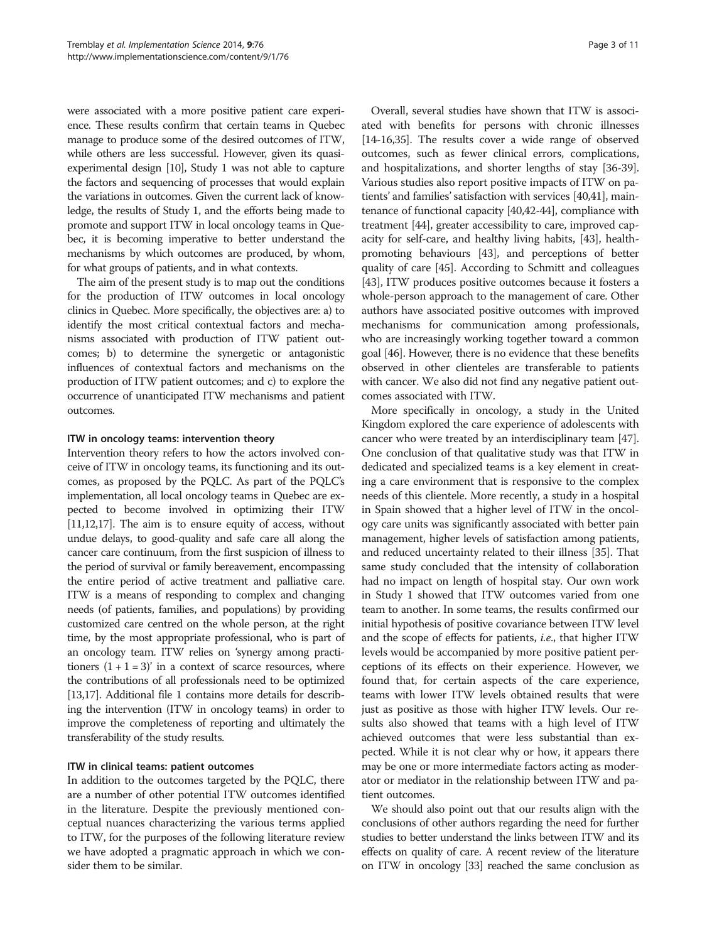were associated with a more positive patient care experience. These results confirm that certain teams in Quebec manage to produce some of the desired outcomes of ITW, while others are less successful. However, given its quasiexperimental design [[10](#page-8-0)], Study 1 was not able to capture the factors and sequencing of processes that would explain the variations in outcomes. Given the current lack of knowledge, the results of Study 1, and the efforts being made to promote and support ITW in local oncology teams in Quebec, it is becoming imperative to better understand the mechanisms by which outcomes are produced, by whom, for what groups of patients, and in what contexts.

The aim of the present study is to map out the conditions for the production of ITW outcomes in local oncology clinics in Quebec. More specifically, the objectives are: a) to identify the most critical contextual factors and mechanisms associated with production of ITW patient outcomes; b) to determine the synergetic or antagonistic influences of contextual factors and mechanisms on the production of ITW patient outcomes; and c) to explore the occurrence of unanticipated ITW mechanisms and patient outcomes.

#### ITW in oncology teams: intervention theory

Intervention theory refers to how the actors involved conceive of ITW in oncology teams, its functioning and its outcomes, as proposed by the PQLC. As part of the PQLC's implementation, all local oncology teams in Quebec are expected to become involved in optimizing their ITW [[11,12,17\]](#page-8-0). The aim is to ensure equity of access, without undue delays, to good-quality and safe care all along the cancer care continuum, from the first suspicion of illness to the period of survival or family bereavement, encompassing the entire period of active treatment and palliative care. ITW is a means of responding to complex and changing needs (of patients, families, and populations) by providing customized care centred on the whole person, at the right time, by the most appropriate professional, who is part of an oncology team. ITW relies on 'synergy among practitioners  $(1 + 1 = 3)$ ' in a context of scarce resources, where the contributions of all professionals need to be optimized [[13,17\]](#page-8-0). Additional file [1](#page-7-0) contains more details for describing the intervention (ITW in oncology teams) in order to improve the completeness of reporting and ultimately the transferability of the study results.

## ITW in clinical teams: patient outcomes

In addition to the outcomes targeted by the PQLC, there are a number of other potential ITW outcomes identified in the literature. Despite the previously mentioned conceptual nuances characterizing the various terms applied to ITW, for the purposes of the following literature review we have adopted a pragmatic approach in which we consider them to be similar.

Overall, several studies have shown that ITW is associated with benefits for persons with chronic illnesses [[14](#page-8-0)-[16,35](#page-8-0)]. The results cover a wide range of observed outcomes, such as fewer clinical errors, complications, and hospitalizations, and shorter lengths of stay [[36](#page-8-0)-[39](#page-9-0)]. Various studies also report positive impacts of ITW on patients' and families'satisfaction with services [\[40](#page-9-0),[41](#page-9-0)], maintenance of functional capacity [\[40,42-44\]](#page-9-0), compliance with treatment [[44](#page-9-0)], greater accessibility to care, improved capacity for self-care, and healthy living habits, [[43](#page-9-0)], healthpromoting behaviours [[43\]](#page-9-0), and perceptions of better quality of care [[45](#page-9-0)]. According to Schmitt and colleagues [[43](#page-9-0)], ITW produces positive outcomes because it fosters a whole-person approach to the management of care. Other authors have associated positive outcomes with improved mechanisms for communication among professionals, who are increasingly working together toward a common goal [[46](#page-9-0)]. However, there is no evidence that these benefits observed in other clienteles are transferable to patients with cancer. We also did not find any negative patient outcomes associated with ITW.

More specifically in oncology, a study in the United Kingdom explored the care experience of adolescents with cancer who were treated by an interdisciplinary team [[47](#page-9-0)]. One conclusion of that qualitative study was that ITW in dedicated and specialized teams is a key element in creating a care environment that is responsive to the complex needs of this clientele. More recently, a study in a hospital in Spain showed that a higher level of ITW in the oncology care units was significantly associated with better pain management, higher levels of satisfaction among patients, and reduced uncertainty related to their illness [\[35](#page-8-0)]. That same study concluded that the intensity of collaboration had no impact on length of hospital stay. Our own work in Study 1 showed that ITW outcomes varied from one team to another. In some teams, the results confirmed our initial hypothesis of positive covariance between ITW level and the scope of effects for patients, i.e., that higher ITW levels would be accompanied by more positive patient perceptions of its effects on their experience. However, we found that, for certain aspects of the care experience, teams with lower ITW levels obtained results that were just as positive as those with higher ITW levels. Our results also showed that teams with a high level of ITW achieved outcomes that were less substantial than expected. While it is not clear why or how, it appears there may be one or more intermediate factors acting as moderator or mediator in the relationship between ITW and patient outcomes.

We should also point out that our results align with the conclusions of other authors regarding the need for further studies to better understand the links between ITW and its effects on quality of care. A recent review of the literature on ITW in oncology [[33](#page-8-0)] reached the same conclusion as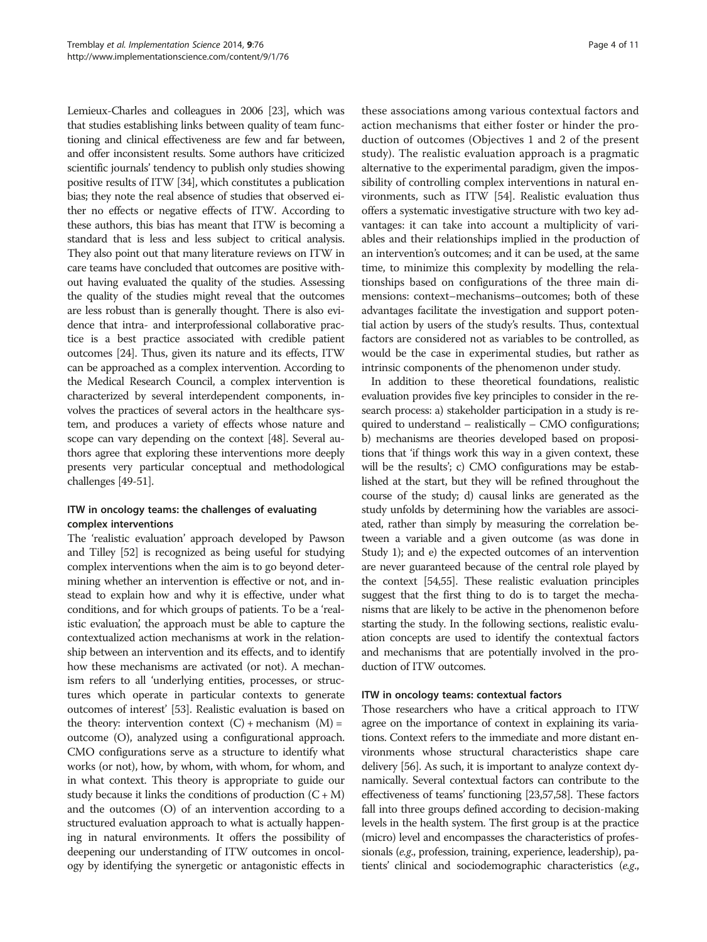Lemieux-Charles and colleagues in 2006 [\[23\]](#page-8-0), which was that studies establishing links between quality of team functioning and clinical effectiveness are few and far between, and offer inconsistent results. Some authors have criticized scientific journals' tendency to publish only studies showing positive results of ITW [\[34](#page-8-0)], which constitutes a publication bias; they note the real absence of studies that observed either no effects or negative effects of ITW. According to these authors, this bias has meant that ITW is becoming a standard that is less and less subject to critical analysis. They also point out that many literature reviews on ITW in care teams have concluded that outcomes are positive without having evaluated the quality of the studies. Assessing the quality of the studies might reveal that the outcomes are less robust than is generally thought. There is also evidence that intra- and interprofessional collaborative practice is a best practice associated with credible patient outcomes [\[24\]](#page-8-0). Thus, given its nature and its effects, ITW can be approached as a complex intervention. According to the Medical Research Council, a complex intervention is characterized by several interdependent components, involves the practices of several actors in the healthcare system, and produces a variety of effects whose nature and scope can vary depending on the context [[48](#page-9-0)]. Several authors agree that exploring these interventions more deeply presents very particular conceptual and methodological challenges [\[49-51\]](#page-9-0).

## ITW in oncology teams: the challenges of evaluating complex interventions

The 'realistic evaluation' approach developed by Pawson and Tilley [\[52\]](#page-9-0) is recognized as being useful for studying complex interventions when the aim is to go beyond determining whether an intervention is effective or not, and instead to explain how and why it is effective, under what conditions, and for which groups of patients. To be a 'realistic evaluation, the approach must be able to capture the contextualized action mechanisms at work in the relationship between an intervention and its effects, and to identify how these mechanisms are activated (or not). A mechanism refers to all 'underlying entities, processes, or structures which operate in particular contexts to generate outcomes of interest' [\[53\]](#page-9-0). Realistic evaluation is based on the theory: intervention context  $(C)$  + mechanism  $(M)$  = outcome (O), analyzed using a configurational approach. CMO configurations serve as a structure to identify what works (or not), how, by whom, with whom, for whom, and in what context. This theory is appropriate to guide our study because it links the conditions of production  $(C + M)$ and the outcomes (O) of an intervention according to a structured evaluation approach to what is actually happening in natural environments. It offers the possibility of deepening our understanding of ITW outcomes in oncology by identifying the synergetic or antagonistic effects in

these associations among various contextual factors and action mechanisms that either foster or hinder the production of outcomes (Objectives 1 and 2 of the present study). The realistic evaluation approach is a pragmatic alternative to the experimental paradigm, given the impossibility of controlling complex interventions in natural environments, such as ITW [\[54\]](#page-9-0). Realistic evaluation thus offers a systematic investigative structure with two key advantages: it can take into account a multiplicity of variables and their relationships implied in the production of an intervention's outcomes; and it can be used, at the same time, to minimize this complexity by modelling the relationships based on configurations of the three main dimensions: context–mechanisms–outcomes; both of these advantages facilitate the investigation and support potential action by users of the study's results. Thus, contextual factors are considered not as variables to be controlled, as would be the case in experimental studies, but rather as intrinsic components of the phenomenon under study.

In addition to these theoretical foundations, realistic evaluation provides five key principles to consider in the research process: a) stakeholder participation in a study is required to understand – realistically – CMO configurations; b) mechanisms are theories developed based on propositions that 'if things work this way in a given context, these will be the results'; c) CMO configurations may be established at the start, but they will be refined throughout the course of the study; d) causal links are generated as the study unfolds by determining how the variables are associated, rather than simply by measuring the correlation between a variable and a given outcome (as was done in Study 1); and e) the expected outcomes of an intervention are never guaranteed because of the central role played by the context [\[54,55\]](#page-9-0). These realistic evaluation principles suggest that the first thing to do is to target the mechanisms that are likely to be active in the phenomenon before starting the study. In the following sections, realistic evaluation concepts are used to identify the contextual factors and mechanisms that are potentially involved in the production of ITW outcomes.

## ITW in oncology teams: contextual factors

Those researchers who have a critical approach to ITW agree on the importance of context in explaining its variations. Context refers to the immediate and more distant environments whose structural characteristics shape care delivery [[56](#page-9-0)]. As such, it is important to analyze context dynamically. Several contextual factors can contribute to the effectiveness of teams' functioning [[23](#page-8-0)[,57,58\]](#page-9-0). These factors fall into three groups defined according to decision-making levels in the health system. The first group is at the practice (micro) level and encompasses the characteristics of professionals (e.g., profession, training, experience, leadership), patients' clinical and sociodemographic characteristics (e.g.,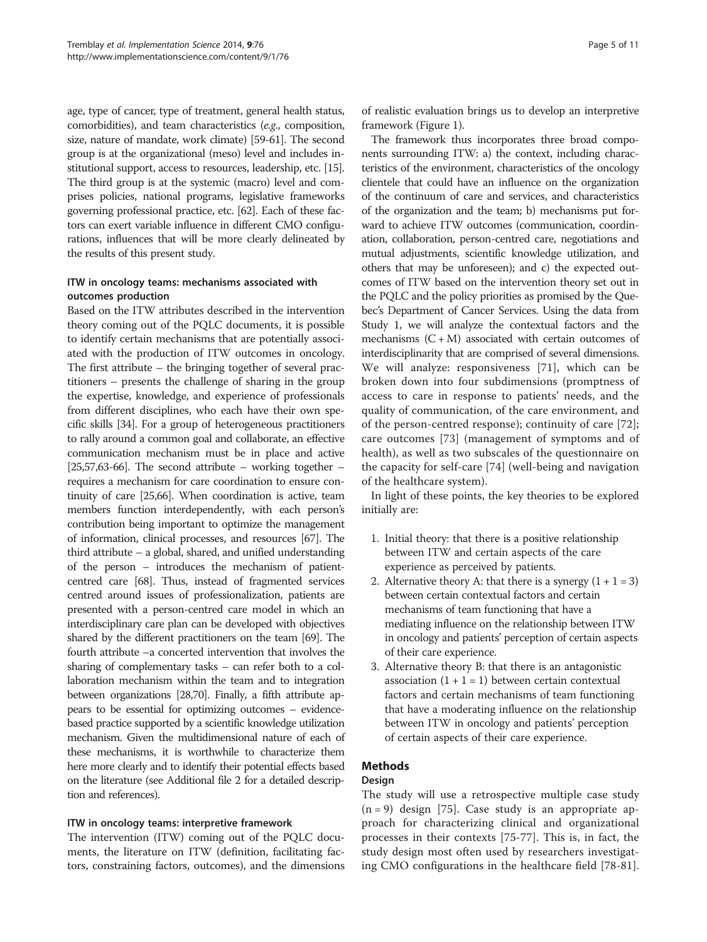age, type of cancer, type of treatment, general health status, comorbidities), and team characteristics (e.g., composition, size, nature of mandate, work climate) [\[59-61](#page-9-0)]. The second group is at the organizational (meso) level and includes institutional support, access to resources, leadership, etc. [\[15](#page-8-0)]. The third group is at the systemic (macro) level and comprises policies, national programs, legislative frameworks governing professional practice, etc. [\[62](#page-9-0)]. Each of these factors can exert variable influence in different CMO configurations, influences that will be more clearly delineated by the results of this present study.

## ITW in oncology teams: mechanisms associated with outcomes production

Based on the ITW attributes described in the intervention theory coming out of the PQLC documents, it is possible to identify certain mechanisms that are potentially associated with the production of ITW outcomes in oncology. The first attribute – the bringing together of several practitioners – presents the challenge of sharing in the group the expertise, knowledge, and experience of professionals from different disciplines, who each have their own specific skills [\[34\]](#page-8-0). For a group of heterogeneous practitioners to rally around a common goal and collaborate, an effective communication mechanism must be in place and active [[25](#page-8-0)[,57,63-66\]](#page-9-0). The second attribute – working together – requires a mechanism for care coordination to ensure continuity of care [[25](#page-8-0)[,66\]](#page-9-0). When coordination is active, team members function interdependently, with each person's contribution being important to optimize the management of information, clinical processes, and resources [[67\]](#page-9-0). The third attribute – a global, shared, and unified understanding of the person – introduces the mechanism of patientcentred care [\[68\]](#page-9-0). Thus, instead of fragmented services centred around issues of professionalization, patients are presented with a person-centred care model in which an interdisciplinary care plan can be developed with objectives shared by the different practitioners on the team [\[69\]](#page-9-0). The fourth attribute –a concerted intervention that involves the sharing of complementary tasks – can refer both to a collaboration mechanism within the team and to integration between organizations [\[28,](#page-8-0)[70\]](#page-9-0). Finally, a fifth attribute appears to be essential for optimizing outcomes – evidencebased practice supported by a scientific knowledge utilization mechanism. Given the multidimensional nature of each of these mechanisms, it is worthwhile to characterize them here more clearly and to identify their potential effects based on the literature (see Additional file [2](#page-7-0) for a detailed description and references).

## ITW in oncology teams: interpretive framework

The intervention (ITW) coming out of the PQLC documents, the literature on ITW (definition, facilitating factors, constraining factors, outcomes), and the dimensions

of realistic evaluation brings us to develop an interpretive framework (Figure [1](#page-5-0)).

The framework thus incorporates three broad components surrounding ITW: a) the context, including characteristics of the environment, characteristics of the oncology clientele that could have an influence on the organization of the continuum of care and services, and characteristics of the organization and the team; b) mechanisms put forward to achieve ITW outcomes (communication, coordination, collaboration, person-centred care, negotiations and mutual adjustments, scientific knowledge utilization, and others that may be unforeseen); and c) the expected outcomes of ITW based on the intervention theory set out in the PQLC and the policy priorities as promised by the Quebec's Department of Cancer Services. Using the data from Study 1, we will analyze the contextual factors and the mechanisms  $(C + M)$  associated with certain outcomes of interdisciplinarity that are comprised of several dimensions. We will analyze: responsiveness [[71\]](#page-9-0), which can be broken down into four subdimensions (promptness of access to care in response to patients' needs, and the quality of communication, of the care environment, and of the person-centred response); continuity of care [[72](#page-9-0)]; care outcomes [[73\]](#page-9-0) (management of symptoms and of health), as well as two subscales of the questionnaire on the capacity for self-care [[74\]](#page-9-0) (well-being and navigation of the healthcare system).

In light of these points, the key theories to be explored initially are:

- 1. Initial theory: that there is a positive relationship between ITW and certain aspects of the care experience as perceived by patients.
- 2. Alternative theory A: that there is a synergy  $(1 + 1 = 3)$ between certain contextual factors and certain mechanisms of team functioning that have a mediating influence on the relationship between ITW in oncology and patients' perception of certain aspects of their care experience.
- 3. Alternative theory B: that there is an antagonistic association  $(1 + 1 = 1)$  between certain contextual factors and certain mechanisms of team functioning that have a moderating influence on the relationship between ITW in oncology and patients' perception of certain aspects of their care experience.

## Methods

## Design

The study will use a retrospective multiple case study  $(n = 9)$  design [[75\]](#page-9-0). Case study is an appropriate approach for characterizing clinical and organizational processes in their contexts [[75-77\]](#page-9-0). This is, in fact, the study design most often used by researchers investigating CMO configurations in the healthcare field [\[78-81](#page-9-0)].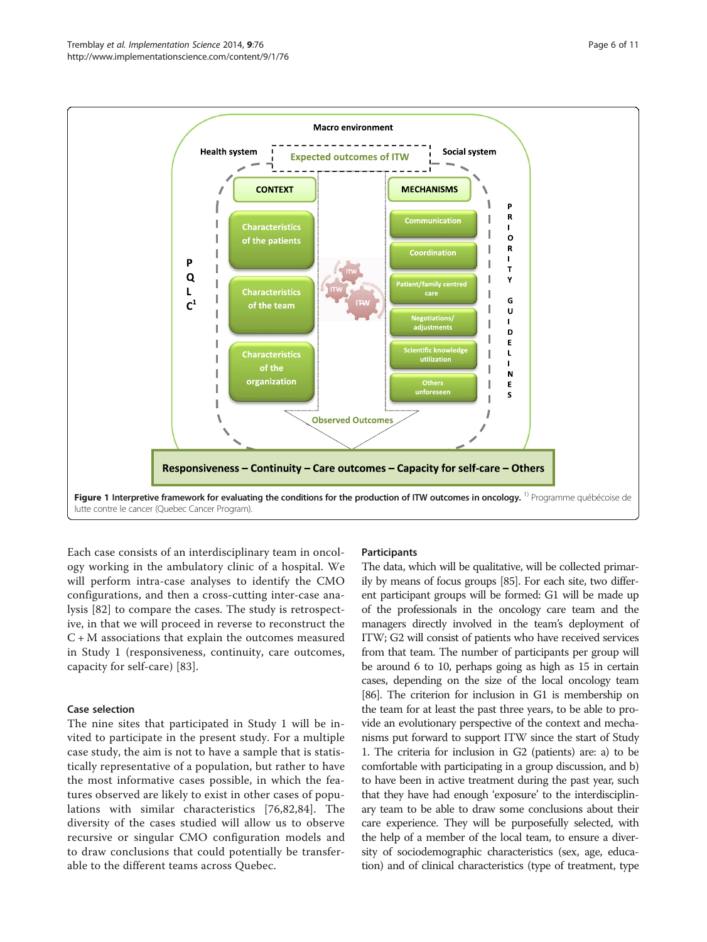<span id="page-5-0"></span>

Each case consists of an interdisciplinary team in oncology working in the ambulatory clinic of a hospital. We will perform intra-case analyses to identify the CMO configurations, and then a cross-cutting inter-case analysis [[82\]](#page-9-0) to compare the cases. The study is retrospective, in that we will proceed in reverse to reconstruct the C + M associations that explain the outcomes measured in Study 1 (responsiveness, continuity, care outcomes, capacity for self-care) [[83\]](#page-9-0).

#### Case selection

The nine sites that participated in Study 1 will be invited to participate in the present study. For a multiple case study, the aim is not to have a sample that is statistically representative of a population, but rather to have the most informative cases possible, in which the features observed are likely to exist in other cases of populations with similar characteristics [[76,82](#page-9-0),[84\]](#page-9-0). The diversity of the cases studied will allow us to observe recursive or singular CMO configuration models and to draw conclusions that could potentially be transferable to the different teams across Quebec.

#### **Participants**

The data, which will be qualitative, will be collected primarily by means of focus groups [\[85\]](#page-9-0). For each site, two different participant groups will be formed: G1 will be made up of the professionals in the oncology care team and the managers directly involved in the team's deployment of ITW; G2 will consist of patients who have received services from that team. The number of participants per group will be around 6 to 10, perhaps going as high as 15 in certain cases, depending on the size of the local oncology team [[86](#page-9-0)]. The criterion for inclusion in G1 is membership on the team for at least the past three years, to be able to provide an evolutionary perspective of the context and mechanisms put forward to support ITW since the start of Study 1. The criteria for inclusion in G2 (patients) are: a) to be comfortable with participating in a group discussion, and b) to have been in active treatment during the past year, such that they have had enough 'exposure' to the interdisciplinary team to be able to draw some conclusions about their care experience. They will be purposefully selected, with the help of a member of the local team, to ensure a diversity of sociodemographic characteristics (sex, age, education) and of clinical characteristics (type of treatment, type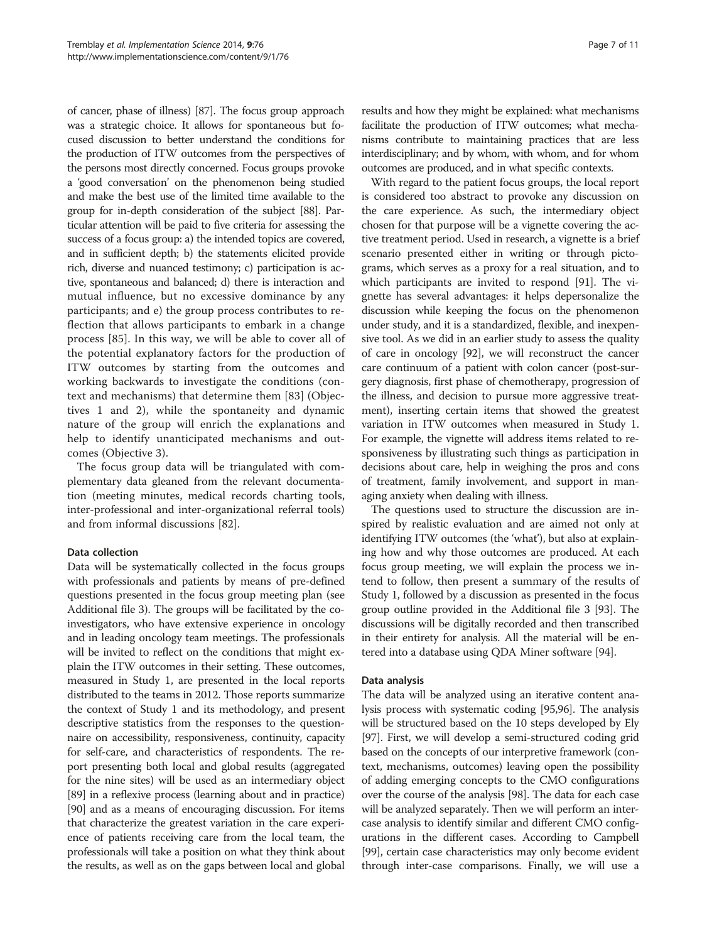of cancer, phase of illness) [\[87\]](#page-9-0). The focus group approach was a strategic choice. It allows for spontaneous but focused discussion to better understand the conditions for the production of ITW outcomes from the perspectives of the persons most directly concerned. Focus groups provoke a 'good conversation' on the phenomenon being studied and make the best use of the limited time available to the group for in-depth consideration of the subject [[88](#page-9-0)]. Particular attention will be paid to five criteria for assessing the success of a focus group: a) the intended topics are covered, and in sufficient depth; b) the statements elicited provide rich, diverse and nuanced testimony; c) participation is active, spontaneous and balanced; d) there is interaction and mutual influence, but no excessive dominance by any participants; and e) the group process contributes to reflection that allows participants to embark in a change process [\[85](#page-9-0)]. In this way, we will be able to cover all of the potential explanatory factors for the production of ITW outcomes by starting from the outcomes and working backwards to investigate the conditions (context and mechanisms) that determine them [[83](#page-9-0)] (Objectives 1 and 2), while the spontaneity and dynamic nature of the group will enrich the explanations and help to identify unanticipated mechanisms and outcomes (Objective 3).

The focus group data will be triangulated with complementary data gleaned from the relevant documentation (meeting minutes, medical records charting tools, inter-professional and inter-organizational referral tools) and from informal discussions [[82\]](#page-9-0).

## Data collection

Data will be systematically collected in the focus groups with professionals and patients by means of pre-defined questions presented in the focus group meeting plan (see Additional file [3\)](#page-7-0). The groups will be facilitated by the coinvestigators, who have extensive experience in oncology and in leading oncology team meetings. The professionals will be invited to reflect on the conditions that might explain the ITW outcomes in their setting. These outcomes, measured in Study 1, are presented in the local reports distributed to the teams in 2012. Those reports summarize the context of Study 1 and its methodology, and present descriptive statistics from the responses to the questionnaire on accessibility, responsiveness, continuity, capacity for self-care, and characteristics of respondents. The report presenting both local and global results (aggregated for the nine sites) will be used as an intermediary object [[89](#page-9-0)] in a reflexive process (learning about and in practice) [[90](#page-9-0)] and as a means of encouraging discussion. For items that characterize the greatest variation in the care experience of patients receiving care from the local team, the professionals will take a position on what they think about the results, as well as on the gaps between local and global results and how they might be explained: what mechanisms facilitate the production of ITW outcomes; what mechanisms contribute to maintaining practices that are less interdisciplinary; and by whom, with whom, and for whom outcomes are produced, and in what specific contexts.

With regard to the patient focus groups, the local report is considered too abstract to provoke any discussion on the care experience. As such, the intermediary object chosen for that purpose will be a vignette covering the active treatment period. Used in research, a vignette is a brief scenario presented either in writing or through pictograms, which serves as a proxy for a real situation, and to which participants are invited to respond [[91](#page-9-0)]. The vignette has several advantages: it helps depersonalize the discussion while keeping the focus on the phenomenon under study, and it is a standardized, flexible, and inexpensive tool. As we did in an earlier study to assess the quality of care in oncology [[92\]](#page-9-0), we will reconstruct the cancer care continuum of a patient with colon cancer (post-surgery diagnosis, first phase of chemotherapy, progression of the illness, and decision to pursue more aggressive treatment), inserting certain items that showed the greatest variation in ITW outcomes when measured in Study 1. For example, the vignette will address items related to responsiveness by illustrating such things as participation in decisions about care, help in weighing the pros and cons of treatment, family involvement, and support in managing anxiety when dealing with illness.

The questions used to structure the discussion are inspired by realistic evaluation and are aimed not only at identifying ITW outcomes (the 'what'), but also at explaining how and why those outcomes are produced. At each focus group meeting, we will explain the process we intend to follow, then present a summary of the results of Study 1, followed by a discussion as presented in the focus group outline provided in the Additional file [3](#page-7-0) [\[93\]](#page-10-0). The discussions will be digitally recorded and then transcribed in their entirety for analysis. All the material will be entered into a database using QDA Miner software [[94](#page-10-0)].

#### Data analysis

The data will be analyzed using an iterative content analysis process with systematic coding [\[95,96\]](#page-10-0). The analysis will be structured based on the 10 steps developed by Ely [[97](#page-10-0)]. First, we will develop a semi-structured coding grid based on the concepts of our interpretive framework (context, mechanisms, outcomes) leaving open the possibility of adding emerging concepts to the CMO configurations over the course of the analysis [\[98\]](#page-10-0). The data for each case will be analyzed separately. Then we will perform an intercase analysis to identify similar and different CMO configurations in the different cases. According to Campbell [[99](#page-10-0)], certain case characteristics may only become evident through inter-case comparisons. Finally, we will use a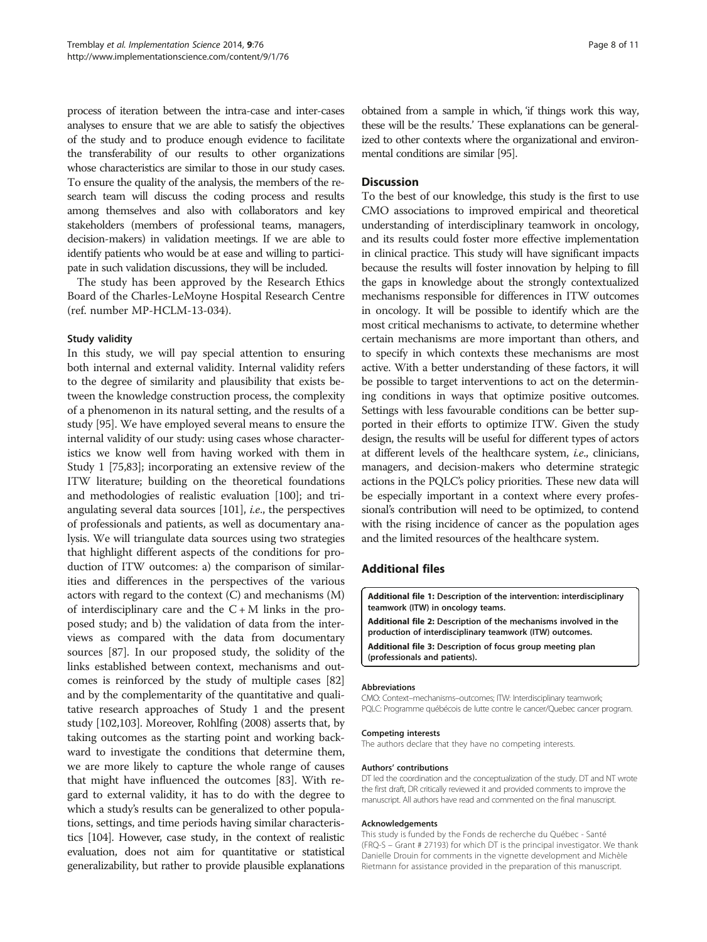<span id="page-7-0"></span>process of iteration between the intra-case and inter-cases analyses to ensure that we are able to satisfy the objectives of the study and to produce enough evidence to facilitate the transferability of our results to other organizations whose characteristics are similar to those in our study cases. To ensure the quality of the analysis, the members of the research team will discuss the coding process and results among themselves and also with collaborators and key stakeholders (members of professional teams, managers, decision-makers) in validation meetings. If we are able to identify patients who would be at ease and willing to participate in such validation discussions, they will be included.

The study has been approved by the Research Ethics Board of the Charles-LeMoyne Hospital Research Centre (ref. number MP-HCLM-13-034).

#### Study validity

In this study, we will pay special attention to ensuring both internal and external validity. Internal validity refers to the degree of similarity and plausibility that exists between the knowledge construction process, the complexity of a phenomenon in its natural setting, and the results of a study [[95](#page-10-0)]. We have employed several means to ensure the internal validity of our study: using cases whose characteristics we know well from having worked with them in Study 1 [[75,83](#page-9-0)]; incorporating an extensive review of the ITW literature; building on the theoretical foundations and methodologies of realistic evaluation [[100\]](#page-10-0); and triangulating several data sources [[101](#page-10-0)], i.e., the perspectives of professionals and patients, as well as documentary analysis. We will triangulate data sources using two strategies that highlight different aspects of the conditions for production of ITW outcomes: a) the comparison of similarities and differences in the perspectives of the various actors with regard to the context (C) and mechanisms (M) of interdisciplinary care and the  $C + M$  links in the proposed study; and b) the validation of data from the interviews as compared with the data from documentary sources [\[87\]](#page-9-0). In our proposed study, the solidity of the links established between context, mechanisms and outcomes is reinforced by the study of multiple cases [[82](#page-9-0)] and by the complementarity of the quantitative and qualitative research approaches of Study 1 and the present study [\[102,103\]](#page-10-0). Moreover, Rohlfing (2008) asserts that, by taking outcomes as the starting point and working backward to investigate the conditions that determine them, we are more likely to capture the whole range of causes that might have influenced the outcomes [\[83\]](#page-9-0). With regard to external validity, it has to do with the degree to which a study's results can be generalized to other populations, settings, and time periods having similar characteristics [\[104](#page-10-0)]. However, case study, in the context of realistic evaluation, does not aim for quantitative or statistical generalizability, but rather to provide plausible explanations obtained from a sample in which, 'if things work this way, these will be the results.' These explanations can be generalized to other contexts where the organizational and environmental conditions are similar [\[95](#page-10-0)].

#### **Discussion**

To the best of our knowledge, this study is the first to use CMO associations to improved empirical and theoretical understanding of interdisciplinary teamwork in oncology, and its results could foster more effective implementation in clinical practice. This study will have significant impacts because the results will foster innovation by helping to fill the gaps in knowledge about the strongly contextualized mechanisms responsible for differences in ITW outcomes in oncology. It will be possible to identify which are the most critical mechanisms to activate, to determine whether certain mechanisms are more important than others, and to specify in which contexts these mechanisms are most active. With a better understanding of these factors, it will be possible to target interventions to act on the determining conditions in ways that optimize positive outcomes. Settings with less favourable conditions can be better supported in their efforts to optimize ITW. Given the study design, the results will be useful for different types of actors at different levels of the healthcare system, i.e., clinicians, managers, and decision-makers who determine strategic actions in the PQLC's policy priorities. These new data will be especially important in a context where every professional's contribution will need to be optimized, to contend with the rising incidence of cancer as the population ages and the limited resources of the healthcare system.

## Additional files

[Additional file 1:](http://www.biomedcentral.com/content/supplementary/1748-5908-9-76-S1.doc) Description of the intervention: interdisciplinary teamwork (ITW) in oncology teams.

[Additional file 2:](http://www.biomedcentral.com/content/supplementary/1748-5908-9-76-S2.doc) Description of the mechanisms involved in the production of interdisciplinary teamwork (ITW) outcomes.

[Additional file 3:](http://www.biomedcentral.com/content/supplementary/1748-5908-9-76-S3.docx) Description of focus group meeting plan (professionals and patients).

#### Abbreviations

CMO: Context–mechanisms–outcomes; ITW: Interdisciplinary teamwork; PQLC: Programme québécois de lutte contre le cancer/Quebec cancer program.

#### Competing interests

The authors declare that they have no competing interests.

#### Authors' contributions

DT led the coordination and the conceptualization of the study. DT and NT wrote the first draft, DR critically reviewed it and provided comments to improve the manuscript. All authors have read and commented on the final manuscript.

#### Acknowledgements

This study is funded by the Fonds de recherche du Québec - Santé (FRQ-S – Grant # 27193) for which DT is the principal investigator. We thank Danielle Drouin for comments in the vignette development and Michèle Rietmann for assistance provided in the preparation of this manuscript.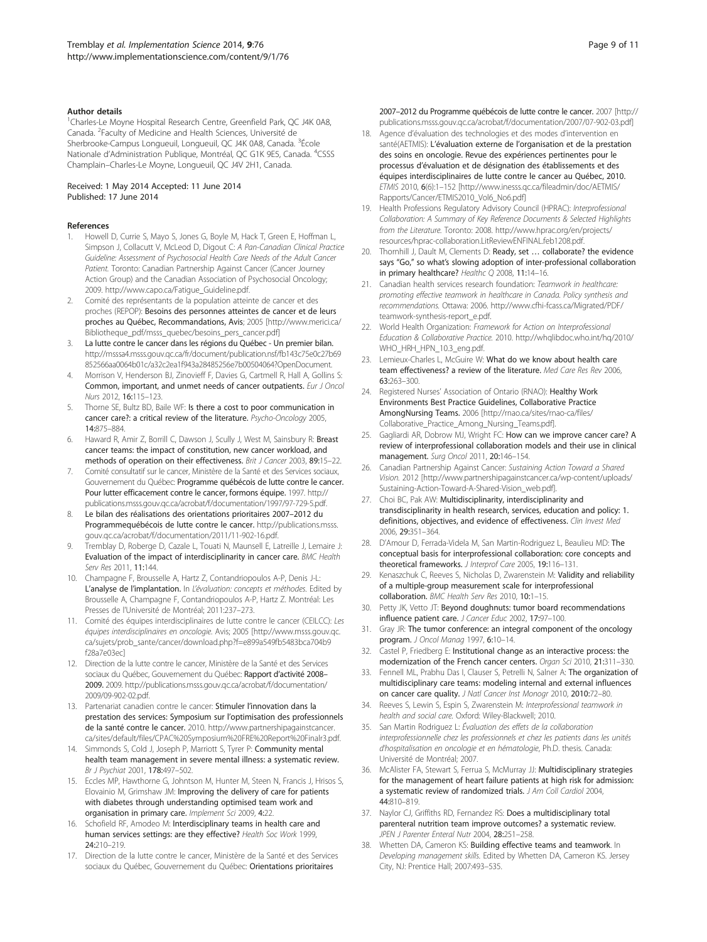#### <span id="page-8-0"></span>Author details

<sup>1</sup>Charles-Le Moyne Hospital Research Centre, Greenfield Park, QC J4K 0A8, Canada. <sup>2</sup>Faculty of Medicine and Health Sciences, Université de Sherbrooke-Campus Longueuil, Longueuil, QC J4K 0A8, Canada. <sup>3</sup>École Nationale d'Administration Publique, Montréal, QC G1K 9E5, Canada. <sup>4</sup>CSSS Champlain–Charles-Le Moyne, Longueuil, QC J4V 2H1, Canada.

#### Received: 1 May 2014 Accepted: 11 June 2014 Published: 17 June 2014

#### References

- 1. Howell D, Currie S, Mayo S, Jones G, Boyle M, Hack T, Green E, Hoffman L, Simpson J, Collacutt V, McLeod D, Digout C: A Pan-Canadian Clinical Practice Guideline: Assessment of Psychosocial Health Care Needs of the Adult Cancer Patient. Toronto: Canadian Partnership Against Cancer (Cancer Journey Action Group) and the Canadian Association of Psychosocial Oncology; 2009. [http://www.capo.ca/Fatigue\\_Guideline.pdf.](http://www.capo.ca/Fatigue_Guideline.pdf)
- 2. Comité des représentants de la population atteinte de cancer et des proches (REPOP): Besoins des personnes atteintes de cancer et de leurs proches au Québec, Recommandations, Avis; 2005 [[http://www.merici.ca/](http://www.merici.ca/Bibliotheque_pdf/msss_quebec/besoins_pers_cancer.pdf) [Bibliotheque\\_pdf/msss\\_quebec/besoins\\_pers\\_cancer.pdf](http://www.merici.ca/Bibliotheque_pdf/msss_quebec/besoins_pers_cancer.pdf)]
- 3. La lutte contre le cancer dans les régions du Québec Un premier bilan. [http://msssa4.msss.gouv.qc.ca/fr/document/publication.nsf/fb143c75e0c27b69](http://msssa4.msss.gouv.qc.ca/fr/document/publication.nsf/fb143c75e0c27b69852566aa0064b01c/a32c2ea1f943a28485256e7b00504064?OpenDocument) [852566aa0064b01c/a32c2ea1f943a28485256e7b00504064?OpenDocument.](http://msssa4.msss.gouv.qc.ca/fr/document/publication.nsf/fb143c75e0c27b69852566aa0064b01c/a32c2ea1f943a28485256e7b00504064?OpenDocument)
- Morrison V, Henderson BJ, Zinovieff F, Davies G, Cartmell R, Hall A, Gollins S: Common, important, and unmet needs of cancer outpatients. Eur J Oncol Nurs 2012, 16:115–123.
- Thorne SE, Bultz BD, Baile WF: Is there a cost to poor communication in cancer care?: a critical review of the literature. Psycho-Oncology 2005, 14:875–884.
- 6. Haward R, Amir Z, Borrill C, Dawson J, Scully J, West M, Sainsbury R: Breast cancer teams: the impact of constitution, new cancer workload, and methods of operation on their effectiveness. Brit J Cancer 2003, 89:15–22.
- 7. Comité consultatif sur le cancer, Ministère de la Santé et des Services sociaux, Gouvernement du Québec: Programme québécois de lutte contre le cancer. Pour lutter efficacement contre le cancer, formons équipe. 1997. [http://](http://publications.msss.gouv.qc.ca/acrobat/f/documentation/1997/97-729-5.pdf) [publications.msss.gouv.qc.ca/acrobat/f/documentation/1997/97-729-5.pdf.](http://publications.msss.gouv.qc.ca/acrobat/f/documentation/1997/97-729-5.pdf)
- 8. Le bilan des réalisations des orientations prioritaires 2007–2012 du Programmequébécois de lutte contre le cancer. [http://publications.msss.](http://publications.msss.gouv.qc.ca/acrobat/f/documentation/2011/11-902-16.pdf) [gouv.qc.ca/acrobat/f/documentation/2011/11-902-16.pdf.](http://publications.msss.gouv.qc.ca/acrobat/f/documentation/2011/11-902-16.pdf)
- Tremblay D, Roberge D, Cazale L, Touati N, Maunsell E, Latreille J, Lemaire J: Evaluation of the impact of interdisciplinarity in cancer care. BMC Health Serv Res 2011, 11:144.
- 10. Champagne F, Brousselle A, Hartz Z, Contandriopoulos A-P, Denis J-L: L'analyse de l'implantation. In L'évaluation: concepts et méthodes. Edited by Brousselle A, Champagne F, Contandriopoulos A-P, Hartz Z. Montréal: Les Presses de l'Université de Montréal; 2011:237–273.
- 11. Comité des équipes interdisciplinaires de lutte contre le cancer (CEILCC): Les équipes interdisciplinaires en oncologie. Avis; 2005 [[http://www.msss.gouv.qc.](http://www.msss.gouv.qc.ca/sujets/prob_sante/cancer/download.php?f=e899a549fb5483bca704b9f28a7e03ec) [ca/sujets/prob\\_sante/cancer/download.php?f=e899a549fb5483bca704b9](http://www.msss.gouv.qc.ca/sujets/prob_sante/cancer/download.php?f=e899a549fb5483bca704b9f28a7e03ec) [f28a7e03ec\]](http://www.msss.gouv.qc.ca/sujets/prob_sante/cancer/download.php?f=e899a549fb5483bca704b9f28a7e03ec)
- 12. Direction de la lutte contre le cancer, Ministère de la Santé et des Services sociaux du Québec, Gouvernement du Québec: Rapport d'activité 2008– 2009. 2009. [http://publications.msss.gouv.qc.ca/acrobat/f/documentation/](http://publications.msss.gouv.qc.ca/acrobat/f/documentation/2009/09-902-02.pdf) [2009/09-902-02.pdf](http://publications.msss.gouv.qc.ca/acrobat/f/documentation/2009/09-902-02.pdf).
- 13. Partenariat canadien contre le cancer: Stimuler l'innovation dans la prestation des services: Symposium sur l'optimisation des professionnels de la santé contre le cancer. 2010. [http://www.partnershipagainstcancer.](http://www.partnershipagainstcancer.ca/sites/default/files/CPAC%20Symposium%20FRE%20Report%20Finalr3.pdf) [ca/sites/default/files/CPAC%20Symposium%20FRE%20Report%20Finalr3.pdf](http://www.partnershipagainstcancer.ca/sites/default/files/CPAC%20Symposium%20FRE%20Report%20Finalr3.pdf).
- 14. Simmonds S, Cold J, Joseph P, Marriott S, Tyrer P: Community mental health team management in severe mental illness: a systematic review. Br J Psychiat 2001, 178:497–502.
- 15. Eccles MP, Hawthorne G, Johntson M, Hunter M, Steen N, Francis J, Hrisos S, Elovainio M, Grimshaw JM: Improving the delivery of care for patients with diabetes through understanding optimised team work and organisation in primary care. Implement Sci 2009, 4:22.
- 16. Schofield RF, Amodeo M: Interdisciplinary teams in health care and human services settings: are they effective? Health Soc Work 1999, 24:210–219.
- 17. Direction de la lutte contre le cancer, Ministère de la Santé et des Services sociaux du Québec, Gouvernement du Québec: Orientations prioritaires

2007–2012 du Programme québécois de lutte contre le cancer. 2007 [[http://](http://publications.msss.gouv.qc.ca/acrobat/f/documentation/2007/07-902-03.pdf) [publications.msss.gouv.qc.ca/acrobat/f/documentation/2007/07-902-03.pdf](http://publications.msss.gouv.qc.ca/acrobat/f/documentation/2007/07-902-03.pdf)]

- 18. Agence d'évaluation des technologies et des modes d'intervention en santé(AETMIS): L'évaluation externe de l'organisation et de la prestation des soins en oncologie. Revue des expériences pertinentes pour le processus d'évaluation et de désignation des établissements et des équipes interdisciplinaires de lutte contre le cancer au Québec, 2010. ETMIS 2010, 6(6):1–152 [\[http://www.inesss.qc.ca/fileadmin/doc/AETMIS/](http://www.inesss.qc.ca/fileadmin/doc/AETMIS/Rapports/Cancer/ETMIS2010_Vol6_No6.pdf) [Rapports/Cancer/ETMIS2010\\_Vol6\\_No6.pdf\]](http://www.inesss.qc.ca/fileadmin/doc/AETMIS/Rapports/Cancer/ETMIS2010_Vol6_No6.pdf)
- 19. Health Professions Regulatory Advisory Council (HPRAC): Interprofessional Collaboration: A Summary of Key Reference Documents & Selected Highlights from the Literature. Toronto: 2008. [http://www.hprac.org/en/projects/](http://www.hprac.org/en/projects/resources/hprac-collaboration.LitReviewENFINAL.feb1208.pdf) [resources/hprac-collaboration.LitReviewENFINAL.feb1208.pdf.](http://www.hprac.org/en/projects/resources/hprac-collaboration.LitReviewENFINAL.feb1208.pdf)
- 20. Thornhill J, Dault M, Clements D: Ready, set ... collaborate? the evidence says "Go," so what's slowing adoption of inter-professional collaboration in primary healthcare? Healthc Q 2008, 11:14–16.
- 21. Canadian health services research foundation: Teamwork in healthcare: promoting effective teamwork in healthcare in Canada. Policy synthesis and recommendations. Ottawa: 2006. [http://www.cfhi-fcass.ca/Migrated/PDF/](http://www.cfhi-fcass.ca/Migrated/PDF/teamwork-synthesis-report_e.pdf) [teamwork-synthesis-report\\_e.pdf.](http://www.cfhi-fcass.ca/Migrated/PDF/teamwork-synthesis-report_e.pdf)
- 22. World Health Organization: Framework for Action on Interprofessional Education & Collaborative Practice. 2010. [http://whqlibdoc.who.int/hq/2010/](http://whqlibdoc.who.int/hq/2010/WHO_HRH_HPN_10.3_eng.pdf) [WHO\\_HRH\\_HPN\\_10.3\\_eng.pdf](http://whqlibdoc.who.int/hq/2010/WHO_HRH_HPN_10.3_eng.pdf).
- 23. Lemieux-Charles L, McGuire W: What do we know about health care team effectiveness? a review of the literature. Med Care Res Rev 2006, 63:263–300.
- 24. Registered Nurses' Association of Ontario (RNAO): Healthy Work Environments Best Practice Guidelines, Collaborative Practice AmongNursing Teams. 2006 [\[http://rnao.ca/sites/rnao-ca/files/](http://rnao.ca/sites/rnao-ca/files/Collaborative_Practice_Among_Nursing_Teams.pdf) [Collaborative\\_Practice\\_Among\\_Nursing\\_Teams.pdf\]](http://rnao.ca/sites/rnao-ca/files/Collaborative_Practice_Among_Nursing_Teams.pdf).
- 25. Gagliardi AR, Dobrow MJ, Wright FC: How can we improve cancer care? A review of interprofessional collaboration models and their use in clinical management. Surg Oncol 2011, 20:146–154.
- 26. Canadian Partnership Against Cancer: Sustaining Action Toward a Shared Vision. 2012 [[http://www.partnershipagainstcancer.ca/wp-content/uploads/](http://www.partnershipagainstcancer.ca/wp-content/uploads/Sustaining-Action-Toward-A-Shared-Vision_web.pdf) [Sustaining-Action-Toward-A-Shared-Vision\\_web.pdf](http://www.partnershipagainstcancer.ca/wp-content/uploads/Sustaining-Action-Toward-A-Shared-Vision_web.pdf)].
- 27. Choi BC, Pak AW: Multidisciplinarity, interdisciplinarity and transdisciplinarity in health research, services, education and policy: 1. definitions, objectives, and evidence of effectiveness. Clin Invest Med 2006, 29:351–364.
- 28. D'Amour D, Ferrada-Videla M, San Martin-Rodriguez L, Beaulieu MD: The conceptual basis for interprofessional collaboration: core concepts and theoretical frameworks. J Interprof Care 2005, 19:116-131.
- 29. Kenaszchuk C, Reeves S, Nicholas D, Zwarenstein M: Validity and reliability of a multiple-group measurement scale for interprofessional collaboration. BMC Health Serv Res 2010, 10:1–15.
- 30. Petty JK, Vetto JT: Beyond doughnuts: tumor board recommendations influence patient care. J Cancer Educ 2002, 17:97–100.
- 31. Gray JR: The tumor conference: an integral component of the oncology program. J Oncol Manag 1997, 6:10–14.
- 32. Castel P, Friedberg E: Institutional change as an interactive process: the modernization of the French cancer centers. Organ Sci 2010, 21:311–330.
- 33. Fennell ML, Prabhu Das I, Clauser S, Petrelli N, Salner A: The organization of multidisciplinary care teams: modeling internal and external influences on cancer care quality. J Natl Cancer Inst Monogr 2010, 2010:72–80.
- 34. Reeves S, Lewin S, Espin S, Zwarenstein M: Interprofessional teamwork in health and social care. Oxford: Wiley-Blackwell; 2010.
- 35. San Martin Rodriguez L: Évaluation des effets de la collaboration interprofessionnelle chez les professionnels et chez les patients dans les unités d'hospitalisation en oncologie et en hématologie, Ph.D. thesis. Canada: Université de Montréal; 2007.
- 36. McAlister FA, Stewart S, Ferrua S, McMurray JJ: Multidisciplinary strategies for the management of heart failure patients at high risk for admission: a systematic review of randomized trials. J Am Coll Cardiol 2004, 44:810–819.
- 37. Naylor CJ, Griffiths RD, Fernandez RS: Does a multidisciplinary total parenteral nutrition team improve outcomes? a systematic review. JPEN J Parenter Enteral Nutr 2004, 28:251-258.
- 38. Whetten DA, Cameron KS: Building effective teams and teamwork. In Developing management skills. Edited by Whetten DA, Cameron KS. Jersey City, NJ: Prentice Hall; 2007:493–535.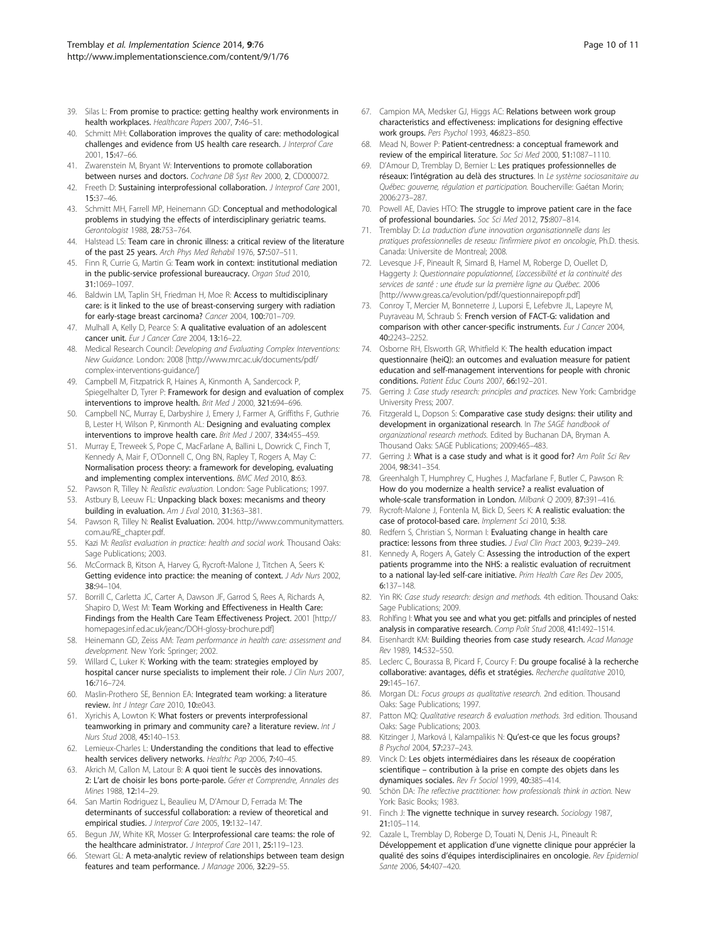- <span id="page-9-0"></span>39. Silas L: From promise to practice: getting healthy work environments in health workplaces. Healthcare Papers 2007, 7:46-51.
- 40. Schmitt MH: Collaboration improves the quality of care: methodological challenges and evidence from US health care research. J Interprof Care 2001, 15:47–66.
- 41. Zwarenstein M, Bryant W: Interventions to promote collaboration between nurses and doctors. Cochrane DB Syst Rev 2000, 2, CD000072.
- 42. Freeth D: Sustaining interprofessional collaboration. J Interprof Care 2001, 15:37–46.
- 43. Schmitt MH, Farrell MP, Heinemann GD: Conceptual and methodological problems in studying the effects of interdisciplinary geriatric teams. Gerontologist 1988, 28:753–764.
- 44. Halstead LS: Team care in chronic illness: a critical review of the literature of the past 25 years. Arch Phys Med Rehabil 1976, 57:507–511.
- 45. Finn R, Currie G, Martin G: Team work in context: institutional mediation in the public-service professional bureaucracy. Organ Stud 2010, 31:1069–1097.
- 46. Baldwin LM, Taplin SH, Friedman H, Moe R: Access to multidisciplinary care: is it linked to the use of breast-conserving surgery with radiation for early-stage breast carcinoma? Cancer 2004, 100:701–709.
- 47. Mulhall A, Kelly D, Pearce S: A qualitative evaluation of an adolescent cancer unit. Eur J Cancer Care 2004, 13:16–22.
- 48. Medical Research Council: Developing and Evaluating Complex Interventions: New Guidance. London: 2008 [\[http://www.mrc.ac.uk/documents/pdf/](http://www.mrc.ac.uk/documents/pdf/complex-interventions-guidance/) [complex-interventions-guidance/](http://www.mrc.ac.uk/documents/pdf/complex-interventions-guidance/)]
- 49. Campbell M, Fitzpatrick R, Haines A, Kinmonth A, Sandercock P, Spiegelhalter D, Tyrer P: Framework for design and evaluation of complex interventions to improve health. Brit Med J 2000, 321:694–696.
- 50. Campbell NC, Murray E, Darbyshire J, Emery J, Farmer A, Griffiths F, Guthrie B, Lester H, Wilson P, Kinmonth AL: Designing and evaluating complex interventions to improve health care. Brit Med J 2007, 334:455–459.
- 51. Murray E, Treweek S, Pope C, MacFarlane A, Ballini L, Dowrick C, Finch T, Kennedy A, Mair F, O'Donnell C, Ong BN, Rapley T, Rogers A, May C: Normalisation process theory: a framework for developing, evaluating and implementing complex interventions. BMC Med 2010, 8:63.
- 52. Pawson R, Tilley N: Realistic evaluation. London: Sage Publications; 1997.
- 53. Astbury B, Leeuw FL: Unpacking black boxes: mecanisms and theory building in evaluation. Am J Eval 2010, 31:363–381.
- 54. Pawson R, Tilley N: Realist Evaluation. 2004. [http://www.communitymatters.](http://www.communitymatters.com.au/RE_chapter.pdf) [com.au/RE\\_chapter.pdf.](http://www.communitymatters.com.au/RE_chapter.pdf)
- 55. Kazi M: Realist evaluation in practice: health and social work. Thousand Oaks: Sage Publications; 2003.
- 56. McCormack B, Kitson A, Harvey G, Rycroft-Malone J, Titchen A, Seers K: Getting evidence into practice: the meaning of context. J Adv Nurs 2002, 38:94–104.
- 57. Borrill C, Carletta JC, Carter A, Dawson JF, Garrod S, Rees A, Richards A, Shapiro D, West M: Team Working and Effectiveness in Health Care: Findings from the Health Care Team Effectiveness Project. 2001 [\[http://](http://homepages.inf.ed.ac.uk/jeanc/DOH-glossy-brochure.pdf) [homepages.inf.ed.ac.uk/jeanc/DOH-glossy-brochure.pdf](http://homepages.inf.ed.ac.uk/jeanc/DOH-glossy-brochure.pdf)]
- 58. Heinemann GD, Zeiss AM: Team performance in health care: assessment and development. New York: Springer; 2002.
- 59. Willard C, Luker K: Working with the team: strategies employed by hospital cancer nurse specialists to implement their role. J Clin Nurs 2007, 16:716–724.
- 60. Maslin-Prothero SE, Bennion EA: Integrated team working: a literature review. Int J Integr Care 2010, 10:e043.
- 61. Xyrichis A, Lowton K: What fosters or prevents interprofessional teamworking in primary and community care? a literature review. Int J Nurs Stud 2008, 45:140–153.
- 62. Lemieux-Charles L: Understanding the conditions that lead to effective health services delivery networks. Healthc Pap 2006, 7:40-45.
- 63. Akrich M, Callon M, Latour B: A quoi tient le succès des innovations. 2: L'art de choisir les bons porte-parole. Gérer et Comprendre, Annales des Mines 1988, 12:14–29.
- 64. San Martin Rodriguez L, Beaulieu M, D'Amour D, Ferrada M: The determinants of successful collaboration: a review of theoretical and empirical studies. J Interprof Care 2005, 19:132-147.
- 65. Begun JW, White KR, Mosser G: Interprofessional care teams: the role of the healthcare administrator. J Interprof Care 2011, 25:119-123.
- 66. Stewart GL: A meta-analytic review of relationships between team design features and team performance. J Manage 2006, 32:29–55.
- 67. Campion MA, Medsker GJ, Higgs AC: Relations between work group characteristics and effectiveness: implications for designing effective work groups. Pers Psychol 1993, 46:823–850.
- 68. Mead N, Bower P: Patient-centredness: a conceptual framework and review of the empirical literature. Soc Sci Med 2000, 51:1087–1110.
- 69. D'Amour D, Tremblay D, Bernier L: Les pratiques professionnelles de réseaux: l'intégration au delà des structures. In Le système sociosanitaire au Québec: gouverne, régulation et participation. Boucherville: Gaétan Morin; 2006:273–287.
- 70. Powell AE, Davies HTO: The struggle to improve patient care in the face of professional boundaries. Soc Sci Med 2012, 75:807–814.
- 71. Tremblay D: La traduction d'une innovation organisationnelle dans les pratiques professionnelles de reseau: l'infirmiere pivot en oncologie, Ph.D. thesis. Canada: Universite de Montreal; 2008.
- 72. Levesque J-F, Pineault R, Simard B, Hamel M, Roberge D, Ouellet D, Haggerty J: Questionnaire populationnel, L'accessibilité et la continuité des services de santé : une étude sur la première ligne au Québec. 2006 [<http://www.greas.ca/evolution/pdf/questionnairepopfr.pdf>]
- 73. Conroy T, Mercier M, Bonneterre J, Luporsi E, Lefebvre JL, Lapeyre M, Puyraveau M, Schraub S: French version of FACT-G: validation and comparison with other cancer-specific instruments. Eur J Cancer 2004, 40:2243–2252.
- 74. Osborne RH, Elsworth GR, Whitfield K: The health education impact questionnaire (heiQ): an outcomes and evaluation measure for patient education and self-management interventions for people with chronic conditions. Patient Educ Couns 2007, 66:192–201.
- 75. Gerring J: Case study research: principles and practices. New York: Cambridge University Press; 2007.
- 76. Fitzgerald L, Dopson S: Comparative case study designs: their utility and development in organizational research. In The SAGE handbook of organizational research methods. Edited by Buchanan DA, Bryman A. Thousand Oaks: SAGE Publications; 2009:465–483.
- 77. Gerring J: What is a case study and what is it good for? Am Polit Sci Rev 2004, 98:341–354.
- 78. Greenhalgh T, Humphrey C, Hughes J, Macfarlane F, Butler C, Pawson R: How do you modernize a health service? a realist evaluation of whole-scale transformation in London. Milbank Q 2009, 87:391-416.
- 79. Rycroft-Malone J, Fontenla M, Bick D, Seers K: A realistic evaluation: the case of protocol-based care. Implement Sci 2010, 5:38.
- 80. Redfern S, Christian S, Norman I: Evaluating change in health care practice: lessons from three studies. J Eval Clin Pract 2003, 9:239-249.
- 81. Kennedy A, Rogers A, Gately C: Assessing the introduction of the expert patients programme into the NHS: a realistic evaluation of recruitment to a national lay-led self-care initiative. Prim Health Care Res Dev 2005, 6:137–148.
- 82. Yin RK: Case study research: design and methods. 4th edition. Thousand Oaks: Sage Publications: 2009.
- 83. Rohlfing I: What you see and what you get: pitfalls and principles of nested analysis in comparative research. Comp Polit Stud 2008, 41:1492–1514.
- 84. Eisenhardt KM: Building theories from case study research. Acad Manage Rev 1989, 14:532–550.
- 85. Leclerc C, Bourassa B, Picard F, Courcy F: Du groupe focalisé à la recherche collaborative: avantages, défis et stratégies. Recherche qualitative 2010, 29:145–167.
- 86. Morgan DL: Focus groups as qualitative research. 2nd edition. Thousand Oaks: Sage Publications; 1997.
- 87. Patton MQ: Qualitative research & evaluation methods. 3rd edition. Thousand Oaks: Sage Publications; 2003.
- 88. Kitzinger J, Marková I, Kalampalikis N: Qu'est-ce que les focus groups? B Psychol 2004, 57:237–243.
- 89. Vinck D: Les objets intermédiaires dans les réseaux de coopération scientifique – contribution à la prise en compte des objets dans les dynamiques sociales. Rev Fr Sociol 1999, 40:385–414.
- 90. Schön DA: The reflective practitioner: how professionals think in action. New York: Basic Books; 1983.
- 91. Finch J: The vignette technique in survey research. Sociology 1987, 21:105–114.
- 92. Cazale L, Tremblay D, Roberge D, Touati N, Denis J-L, Pineault R: Développement et application d'une vignette clinique pour apprécier la qualité des soins d'équipes interdisciplinaires en oncologie. Rev Epidemiol Sante 2006, 54:407-420.